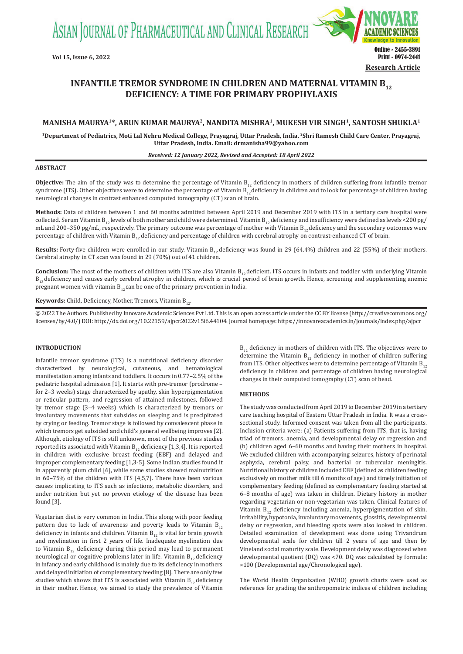ASIAN JOURNAL OF PHARMACEUTICAL AND CLINICAL RESEARCH



# **INFANTILE TREMOR SYNDROME IN CHILDREN AND MATERNAL VITAMIN B<sub>12</sub> DEFICIENCY: A TIME FOR PRIMARY PROPHYLAXIS**

# **MANISHA MAURYA1\*, ARUN KUMAR MAURYA2, NANDITA MISHRA1, MUKESH VIR SINGH1, SANTOSH SHUKLA1**

**1Department of Pediatrics, Moti Lal Nehru Medical College, Prayagraj, Uttar Pradesh, India. 2Shri Ramesh Child Care Center, Prayagraj, Uttar Pradesh, India. Email: drmanisha99@yahoo.com**

# *Received: 12 January 2022, Revised and Accepted: 18 April 2022*

#### **ABSTRACT**

**Objective:** The aim of the study was to determine the percentage of Vitamin  $B_{12}$  deficiency in mothers of children suffering from infantile tremor syndrome (ITS). Other objectives were to determine the percentage of Vitamin  $\bm{\mathsf{B}}_{12}$  deficiency in children and to look for percentage of children having neurological changes in contrast enhanced computed tomography (CT) scan of brain.

**Methods:** Data of children between 1 and 60 months admitted between April 2019 and December 2019 with ITS in a tertiary care hospital were collected. Serum Vitamin B<sub>12</sub> levels of both mother and child were determined. Vitamin B<sub>12</sub> deficiency and insufficiency were defined as levels <200 pg/ mL and 200–350 pg/mL, respectively. The primary outcome was percentage of mother with Vitamin  $B_{12}$  deficiency and the secondary outcomes were percentage of children with Vitamin  $B_{12}$  deficiency and percentage of children with cerebral atrophy on contrast-enhanced CT of brain.

**Results:** Forty-five children were enrolled in our study. Vitamin  $B_{12}$  deficiency was found in 29 (64.4%) children and 22 (55%) of their mothers. Cerebral atrophy in CT scan was found in 29 (70%) out of 41 children.

**Conclusion:** The most of the mothers of children with ITS are also Vitamin  $B_{12}$  deficient. ITS occurs in infants and toddler with underlying Vitamin  $B_{12}$  deficiency and causes early cerebral atrophy in children, which is crucial period of brain growth. Hence, screening and supplementing anemic pregnant women with vitamin  $B_{12}$  can be one of the primary prevention in India.

**Keywords:** Child, Deficiency, Mother, Tremors, Vitamin B<sub>12</sub>.

© 2022 The Authors. Published by Innovare Academic Sciences Pvt Ltd. This is an open access article under the CC BY license (http://creativecommons.org/ licenses/by/4.0/) DOI: http://dx.doi.org/10.22159/ajpcr.2022v15i6.44104. Journal homepage: https://innovareacademics.in/journals/index.php/ajpcr

# **INTRODUCTION**

Infantile tremor syndrome (ITS) is a nutritional deficiency disorder characterized by neurological, cutaneous, and hematological manifestation among infants and toddlers. It occurs in 0.77–2.5% of the pediatric hospital admission [1]. It starts with pre-tremor (prodrome – for 2–3 weeks) stage characterized by apathy, skin hyperpigmentation or reticular pattern, and regression of attained milestones, followed by tremor stage (3–4 weeks) which is characterized by tremors or involuntary movements that subsides on sleeping and is precipitated by crying or feeding. Tremor stage is followed by convalescent phase in which tremors get subsided and child's general wellbeing improves [2]. Although, etiology of ITS is still unknown, most of the previous studies reported its associated with Vitamin  $B_{12}$  deficiency [1,3,4]. It is reported in children with exclusive breast feeding (EBF) and delayed and improper complementary feeding [1,3-5]. Some Indian studies found it in apparently plum child [6], while some studies showed malnutrition in 60–75% of the children with ITS [4,5,7]. There have been various causes implicating to ITS such as infections, metabolic disorders, and under nutrition but yet no proven etiology of the disease has been found [3].

Vegetarian diet is very common in India. This along with poor feeding pattern due to lack of awareness and poverty leads to Vitamin  $B_{12}$ deficiency in infants and children. Vitamin  $B_{12}$  is vital for brain growth and myelination in first 2 years of life. Inadequate myelination due to Vitamin  $B_{12}$  deficiency during this period may lead to permanent neurological or cognitive problems later in life. Vitamin  $B_{12}$  deficiency in infancy and early childhood is mainly due to its deficiency in mothers and delayed initiation of complementary feeding [8]. There are only few studies which shows that ITS is associated with Vitamin  $B_{12}$  deficiency in their mother. Hence, we aimed to study the prevalence of Vitamin  $B_{12}$  deficiency in mothers of children with ITS. The objectives were to determine the Vitamin  $B_{12}$  deficiency in mother of children suffering from ITS. Other objectives were to determine percentage of Vitamin  $B_{12}$ deficiency in children and percentage of children having neurological changes in their computed tomography (CT) scan of head.

## **METHODS**

The study was conducted from April 2019 to December 2019 in a tertiary care teaching hospital of Eastern Uttar Pradesh in India. It was a crosssectional study. Informed consent was taken from all the participants. Inclusion criteria were: (a) Patients suffering from ITS, that is, having triad of tremors, anemia, and developmental delay or regression and (b) children aged 6–60 months and having their mothers in hospital. We excluded children with accompanying seizures, history of perinatal asphyxia, cerebral palsy, and bacterial or tubercular meningitis. Nutritional history of children included EBF (defined as children feeding exclusively on mother milk till 6 months of age) and timely initiation of complementary feeding (defined as complementary feeding started at 6–8 months of age) was taken in children. Dietary history in mother regarding vegetarian or non-vegetarian was taken. Clinical features of Vitamin  $B_{12}$  deficiency including anemia, hyperpigmentation of skin, irritability, hypotonia, involuntary movements, glossitis, developmental delay or regression, and bleeding spots were also looked in children. Detailed examination of development was done using Trivandrum developmental scale for children till 2 years of age and then by Vineland social maturity scale. Development delay was diagnosed when developmental quotient (DQ) was <70. DQ was calculated by formula: ×100 (Developmental age/Chronological age).

The World Health Organization (WHO) growth charts were used as reference for grading the anthropometric indices of children including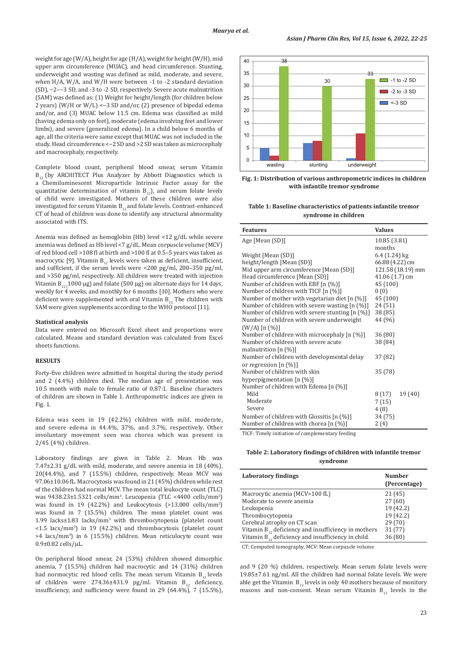weight for age (W/A), height for age (H/A), weight for height (W/H), mid upper arm circumference (MUAC), and head circumference. Stunting, underweight and wasting was defined as mild, moderate, and severe, when H/A, W/A, and W/H were between -1 to -2 standard deviation (SD), −2–−3 SD, and -3 to -2 SD, respectively. Severe acute malnutrition (SAM) was defined as: (1) Weight for height/length (for children below 2 years) (W/H or W/L) <−3 SD and/or, (2) presence of bipedal edema and/or, and (3) MUAC below 11.5 cm. Edema was classified as mild (having edema only on feet), moderate (edema involving feet and lower limbs), and severe (generalized edema). In a child below 6 months of age, all the criteria were same except that MUAC was not included in the study. Head circumference <−2 SD and >2 SD was taken as microcephaly and macrocephaly, respectively.

Complete blood count, peripheral blood smear, serum Vitamin  $B_{12}$  (by ARCHITECT Plus Analyzer by Abbott Diagnostics which is a Chemiluminescent Microparticle Intrinsic Factor assay for the quantitative determination of vitamin  $B_{12}$ ), and serum folate levels of child were investigated. Mothers of these children were also investigated for serum Vitamin  $B_{12}$  and folate levels. Contrast-enhanced CT of head of children was done to identify any structural abnormality associated with ITS.

Anemia was defined as hemoglobin (Hb) level <12 g/dL while severe anemia was defined as Hb level <7 g/dL. Mean corpuscle volume (MCV) of red blood cell >108 fl at birth and >100 fl at 0.5–5 years was taken as macrocytic [9]. Vitamin  $B_{12}$  levels were taken as deficient, insufficient, and sufficient, if the serum levels were <200 pg/ml, 200–350 pg/ml, and >350 pg/ml, respectively. All children were treated with injection Vitamin  $B_{12}$  (1000 µg) and folate (500 µg) on alternate days for 14 days, weekly for 4 weeks, and monthly for 6 months [10]. Mothers who were deficient were supplemented with oral Vitamin  $B_{12}$ . The children with SAM were given supplements according to the WHO protocol [11].

#### **Statistical analysis**

Data were entered on Microsoft Excel sheet and proportions were calculated. Means and standard deviation was calculated from Excel sheets functions.

### **RESULTS**

Forty-five children were admitted in hospital during the study period and 2 (4.4%) children died. The median age of presentation was 10.5 month with male to female ratio of 0.87:1. Baseline characters of children are shown in Table 1. Anthropometric indices are given in Fig. 1.

Edema was seen in 19 (42.2%) children with mild, moderate, and severe edema in 44.4%, 37%, and 3.7%, respectively. Other involuntary movement seen was chorea which was present in 2/45 (4%) children.

Laboratory findings are given in Table 2. Mean Hb was 7.47±2.31 g/dL with mild, moderate, and severe anemia in 18 (40%), 20(44.4%), and 7 (15.5%) children, respectively. Mean MCV was 97.06±10.06 fL. Macrocytosis was found in 21 (45%) children while rest of the children had normal MCV. The mean total leukocyte count (TLC) was 9438.23±1.5321 cells/mm<sup>3</sup>. Leucopenia (TLC <4400 cells/mm<sup>3</sup>) was found in 19 (42.2%) and Leukocytosis (>13,000 cells/mm<sup>3</sup> ) was found in 7 (15.5%) children. The mean platelet count was 1.99 lacks±1.83 lacks/mm3 with thrombocytopenia (platelet count <1.5 lacs/mm<sup>3</sup> ) in 19 (42.2%) and thrombocytosis (platelet count >4 lacs/mm<sup>3</sup> ) in 6 (15.5%) children. Mean reticulocyte count was  $0.9\pm0.82$  cells/ $\mu$ L.

On peripheral blood smear, 24 (53%) children showed dimorphic anemia, 7 (15.5%) children had macrocytic and 14 (31%) children had normocytic red blood cells. The mean serum Vitamin  $B_{12}$  levels of children were 274.36±431.9 pg/ml. Vitamin  $B_{12}$  deficiency, insufficiency, and sufficiency were found in 29 (64.4%), 7 (15.5%),



**Fig. 1: Distribution of various anthropometric indices in children with infantile tremor syndrome**

**Table 1: Baseline characteristics of patients infantile tremor syndrome in children**

| <b>Features</b>                                   | <b>Values</b>     |
|---------------------------------------------------|-------------------|
| Age [Mean (SD)]                                   | 10.85 (3.81)      |
|                                                   | months            |
| Weight [Mean (SD)]                                | 6.4 (1.24) kg     |
| height/length [Mean (SD)]                         | 66.88 (4.22) cm   |
| Mid upper arm circumference [Mean (SD)]           | 121.58 (18.19) mm |
| Head circumference [Mean (SD)]                    | 41.06 (1.7) cm    |
| Number of children with EBF [n (%)]               | 45 (100)          |
| Number of children with TICF [n (%)]              | 0(0)              |
| Number of mother with vegetarian diet $[n (%)]$   | 45 (100)          |
| Number of children with severe wasting [n (%)]    | 24(51)            |
| Number of children with severe stunting $[n (%)]$ | 38 (85)           |
| Number of children with severe underweight        | 44 (96)           |
| $(W/A)$ [n $(\%)$ ]                               |                   |
| Number of children with microcephaly $[n (%)]$    | 36 (80)           |
| Number of children with severe acute              | 38 (84)           |
| malnutrition $[n (%)]$                            |                   |
| Number of children with developmental delay       | 37 (82)           |
| or regression $[n \ (\%)]$                        |                   |
| Number of children with skin                      | 35 (78)           |
| hyperpigmentation $[n (\%)]$                      |                   |
| Number of children with Edema [n (%)]             |                   |
| Mild                                              | 19 (40)<br>8(17)  |
| Moderate                                          | 7(15)             |
| Severe                                            | 4(8)              |
| Number of children with Glossitis $[n (%)]$       | 34 (75)           |
| Number of children with chorea [n (%)]            | 2(4)              |

TICF: Timely initiation of complementary feeding

**Table 2: Laboratory findings of children with infantile tremor syndrome**

| <b>Laboratory findings</b>                                 | <b>Number</b> |
|------------------------------------------------------------|---------------|
|                                                            | (Percentage)  |
| Macrocytic anemia (MCV>100 fL)                             | 21(45)        |
| Moderate to severe anemia                                  | 27(60)        |
| Leukopenia                                                 | 19 (42.2)     |
| Thrombocytopenia                                           | 19 (42.2)     |
| Cerebral atrophy on CT scan                                | 29(70)        |
| Vitamin $B_{12}$ , deficiency and insufficiency in mothers | 31(77)        |
| Vitamin $B_{12}$ deficiency and insufficiency in child.    | 36 (80)       |

CT: Computed tomography, MCV: Mean corpuscle volume

and 9 (20 %) children, respectively. Mean serum folate levels were 19.85±7.61 ng/ml. All the children had normal folate levels. We were able get the Vitamin  $B_{12}$  levels in only 40 mothers because of monitory reasons and non-consent. Mean serum Vitamin  $B_{12}$  levels in the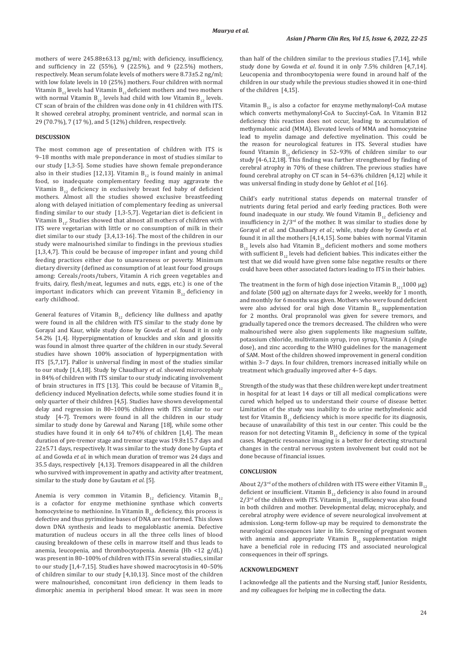mothers of were 245.88±63.13 pg/ml; with deficiency, insufficiency, and sufficiency in 22 (55%), 9 (22.5%), and 9 (22.5%) mothers, respectively. Mean serum folate levels of mothers were 8.73±5.2 ng/ml; with low folate levels in 10 (25%) mothers. Four children with normal Vitamin  $B_{12}$  levels had Vitamin  $B_{12}$  deficient mothers and two mothers with normal Vitamin  $B_{12}$  levels had child with low Vitamin  $B_{12}$  levels. CT scan of brain of the children was done only in 41 children with ITS. It showed cerebral atrophy, prominent ventricle, and normal scan in 29 (70.7%), 7 (17 %), and 5 (12%) children, respectively.

#### **DISCUSSION**

The most common age of presentation of children with ITS is 9–18 months with male preponderance in most of studies similar to our study [1,3-5]. Some studies have shown female preponderance also in their studies [12,13]. Vitamin  $B_{12}$  is found mainly in animal food, so inadequate complementary feeding may aggravate the Vitamin  $B_{12}$  deficiency in exclusively breast fed baby of deficient mothers. Almost all the studies showed exclusive breastfeeding along with delayed initiation of complementary feeding as universal finding similar to our study [1,3-5,7]. Vegetarian diet is deficient in Vitamin  $B_{12}$ . Studies showed that almost all mothers of children with ITS were vegetarian with little or no consumption of milk in their diet similar to our study [3,4,13-16]. The most of the children in our study were malnourished similar to findings in the previous studies [1,3,4,7]. This could be because of improper infant and young child feeding practices either due to unawareness or poverty. Minimum dietary diversity (defined as consumption of at least four food groups among: Cereals/roots/tubers, Vitamin A rich green vegetables and fruits, dairy, flesh/meat, legumes and nuts, eggs, etc.) is one of the important indicators which can prevent Vitamin  $B_{12}$  deficiency in early childhood.

General features of Vitamin  $B_{12}$  deficiency like dullness and apathy were found in all the children with ITS similar to the study done by Gorayal and Kaur, while study done by Gowda *et al*. found it in only 54.2% [1,4]. Hyperpigmentation of knuckles and skin and glossitis was found in almost three quarter of the children in our study. Several studies have shown 100% association of hyperpigmentation with ITS [5,7,17]. Pallor is universal finding in most of the studies similar to our study [1,4,18]. Study by Chaudhary *et al*. showed microcephaly in 84% of children with ITS similar to our study indicating involvement of brain structures in ITS [13]. This could be because of Vitamin  $B_{12}$ deficiency induced Myelination defects, while some studies found it in only quarter of their children [4,5]. Studies have shown developmental delay and regression in 80–100% children with ITS similar to our study [4-7]. Tremors were found in all the children in our study similar to study done by Garewal and Narang [18], while some other studies have found it in only 64 to74% of children [1,4]. The mean duration of pre-tremor stage and tremor stage was 19.8±15.7 days and 22±5.71 days, respectively. It was similar to the study done by Gupta *et al*. and Gowda *et al*. in which mean duration of tremor was 24 days and 35.5 days, respectively [4,13]. Tremors disappeared in all the children who survived with improvement in apathy and activity after treatment, similar to the study done by Gautam *et al*. [5].

Anemia is very common in Vitamin  $\mathsf{B}_{_{12}}$  deficiency. Vitamin  $\mathsf{B}_{_{12}}$ is a cofactor for enzyme methionine synthase which converts homocysteine to methionine. In Vitamin  $B_{12}$  deficiency, this process is defective and thus pyrimidine bases of DNA are not formed. This slows down DNA synthesis and leads to megaloblastic anemia. Defective maturation of nucleus occurs in all the three cells lines of blood causing breakdown of these cells in marrow itself and thus leads to anemia, leucopenia, and thrombocytopenia. Anemia (Hb <12 g/dL) was present in 80–100% of children with ITS in several studies, similar to our study [1,4-7,15]. Studies have showed macrocytosis in 40–50% of children similar to our study [4,10,13]. Since most of the children were malnourished, concomitant iron deficiency in them leads to dimorphic anemia in peripheral blood smear. It was seen in more than half of the children similar to the previous studies [7,14], while study done by Gowda *et al*. found it in only 7.5% children [4,7,14]. Leucopenia and thrombocytopenia were found in around half of the children in our study while the previous studies showed it in one-third of the children [4,15].

Vitamin  $B_{12}$  is also a cofactor for enzyme methymalonyl-CoA mutase which converts methymalonyl-CoA to Succinyl-CoA. In Vitamin B12 deficiency this reaction does not occur, leading to accumulation of methymalonic acid (MMA). Elevated levels of MMA and homocysteine lead to myelin damage and defective myelination. This could be the reason for neurological features in ITS. Several studies have found Vitamin  $B_{12}$  deficiency in 52-93% of children similar to our study [4-6,12,18]. This finding was further strengthened by finding of cerebral atrophy in 70% of these children. The previous studies have found cerebral atrophy on CT scan in 54–63% children [4,12] while it was universal finding in study done by Gehlot *et al*. [16].

Child's early nutritional status depends on maternal transfer of nutrients during fetal period and early feeding practices. Both were found inadequate in our study. We found Vitamin  $B_{12}$  deficiency and insufficiency in  $2/3<sup>rd</sup>$  of the mother. It was similar to studies done by Gorayal *et al*. and Chaudhary *et al*.; while, study done by Gowda *et al*. found it in all the mothers [4,14,15]. Some babies with normal Vitamin  $B_{12}$  levels also had Vitamin  $B_{12}$  deficient mothers and some mothers with sufficient  $B_{12}$  levels had deficient babies. This indicates either the test that we did would have given some false negative results or there could have been other associated factors leading to ITS in their babies.

The treatment in the form of high dose injection Vitamin  $B_{12}$  (1000  $\mu$ g) and folate (500 µg) on alternate days for 2 weeks, weekly for 1 month, and monthly for 6 months was given. Mothers who were found deficient were also advised for oral high dose Vitamin  $B_{12}$  supplementation for 2 months. Oral propranolol was given for severe tremors, and gradually tapered once the tremors decreased. The children who were malnourished were also given supplements like magnesium sulfate, potassium chloride, multivitamin syrup, iron syrup, Vitamin A (single dose), and zinc according to the WHO guidelines for the management of SAM. Most of the children showed improvement in general condition within 3–7 days. In four children, tremors increased initially while on treatment which gradually improved after 4–5 days.

Strength of the study was that these children were kept under treatment in hospital for at least 14 days or till all medical complications were cured which helped us to understand their course of disease better. Limitation of the study was inability to do urine methylmelonic acid test for Vitamin  $B_{12}$  deficiency which is more specific for its diagnosis, because of unavailability of this test in our center. This could be the reason for not detecting Vitamin  $B_{12}$  deficiency in some of the typical cases. Magnetic resonance imaging is a better for detecting structural changes in the central nervous system involvement but could not be done because of financial issues.

# **CONCLUSION**

About  $2/3^{rd}$  of the mothers of children with ITS were either Vitamin B<sub>12</sub> deficient or insufficient. Vitamin  $B_{12}$  deficiency is also found in around  $2/3$ <sup>rd</sup> of the children with ITS. Vitamin B<sub>12</sub> insufficiency was also found in both children and mother. Developmental delay, microcephaly, and cerebral atrophy were evidence of severe neurological involvement at admission. Long-term follow-up may be required to demonstrate the neurological consequences later in life. Screening of pregnant women with anemia and appropriate Vitamin  $B_{12}$  supplementation might have a beneficial role in reducing ITS and associated neurological consequences in their off springs.

# **ACKNOWLEDGMENT**

I acknowledge all the patients and the Nursing staff, Junior Residents, and my colleagues for helping me in collecting the data.